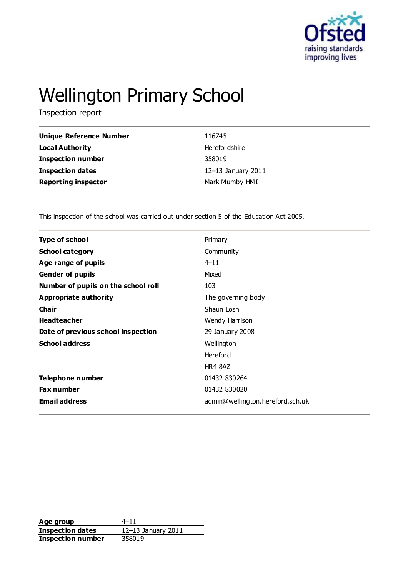

# Wellington Primary School

Inspection report

| Unique Reference Number    | 116745             |
|----------------------------|--------------------|
| Local Authority            | Herefor dshire     |
| <b>Inspection number</b>   | 358019             |
| Inspection dates           | 12-13 January 2011 |
| <b>Reporting inspector</b> | Mark Mumby HMI     |

This inspection of the school was carried out under section 5 of the Education Act 2005.

| <b>Type of school</b>               | Primary                          |
|-------------------------------------|----------------------------------|
| <b>School category</b>              | Community                        |
| Age range of pupils                 | $4 - 11$                         |
| <b>Gender of pupils</b>             | Mixed                            |
| Number of pupils on the school roll | 103                              |
| Appropriate authority               | The governing body               |
| Cha ir                              | Shaun Losh                       |
| <b>Headteacher</b>                  | Wendy Harrison                   |
| Date of previous school inspection  | 29 January 2008                  |
| <b>School address</b>               | Wellington                       |
|                                     | <b>Hereford</b>                  |
|                                     | HR4 8AZ                          |
| Telephone number                    | 01432 830264                     |
| <b>Fax number</b>                   | 01432 830020                     |
| <b>Email address</b>                | admin@wellington.hereford.sch.uk |

**Age group** 4–11 **Inspection dates** 12–13 January 2011 **Inspection number** 358019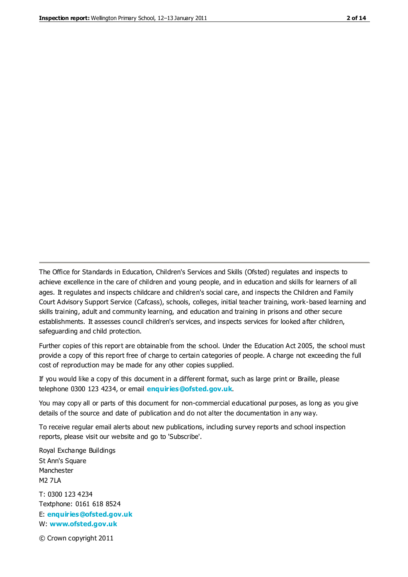The Office for Standards in Education, Children's Services and Skills (Ofsted) regulates and inspects to achieve excellence in the care of children and young people, and in education and skills for learners of all ages. It regulates and inspects childcare and children's social care, and inspects the Children and Family Court Advisory Support Service (Cafcass), schools, colleges, initial teacher training, work-based learning and skills training, adult and community learning, and education and training in prisons and other secure establishments. It assesses council children's services, and inspects services for looked after children, safeguarding and child protection.

Further copies of this report are obtainable from the school. Under the Education Act 2005, the school must provide a copy of this report free of charge to certain categories of people. A charge not exceeding the full cost of reproduction may be made for any other copies supplied.

If you would like a copy of this document in a different format, such as large print or Braille, please telephone 0300 123 4234, or email **[enquiries@ofsted.gov.uk](mailto:enquiries@ofsted.gov.uk)**.

You may copy all or parts of this document for non-commercial educational purposes, as long as you give details of the source and date of publication and do not alter the documentation in any way.

To receive regular email alerts about new publications, including survey reports and school inspection reports, please visit our website and go to 'Subscribe'.

Royal Exchange Buildings St Ann's Square Manchester M2 7LA T: 0300 123 4234 Textphone: 0161 618 8524 E: **[enquiries@ofsted.gov.uk](mailto:enquiries@ofsted.gov.uk)**

W: **[www.ofsted.gov.uk](http://www.ofsted.gov.uk/)**

© Crown copyright 2011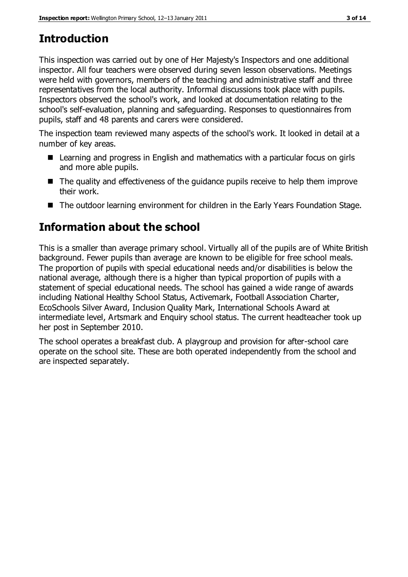# **Introduction**

This inspection was carried out by one of Her Majesty's Inspectors and one additional inspector. All four teachers were observed during seven lesson observations. Meetings were held with governors, members of the teaching and administrative staff and three representatives from the local authority. Informal discussions took place with pupils. Inspectors observed the school's work, and looked at documentation relating to the school's self-evaluation, planning and safeguarding. Responses to questionnaires from pupils, staff and 48 parents and carers were considered.

The inspection team reviewed many aspects of the school's work. It looked in detail at a number of key areas.

- Learning and progress in English and mathematics with a particular focus on girls and more able pupils.
- The quality and effectiveness of the guidance pupils receive to help them improve their work.
- The outdoor learning environment for children in the Early Years Foundation Stage.

# **Information about the school**

This is a smaller than average primary school. Virtually all of the pupils are of White British background. Fewer pupils than average are known to be eligible for free school meals. The proportion of pupils with special educational needs and/or disabilities is below the national average, although there is a higher than typical proportion of pupils with a statement of special educational needs. The school has gained a wide range of awards including National Healthy School Status, Activemark, Football Association Charter, EcoSchools Silver Award, Inclusion Quality Mark, International Schools Award at intermediate level, Artsmark and Enquiry school status. The current headteacher took up her post in September 2010.

The school operates a breakfast club. A playgroup and provision for after-school care operate on the school site. These are both operated independently from the school and are inspected separately.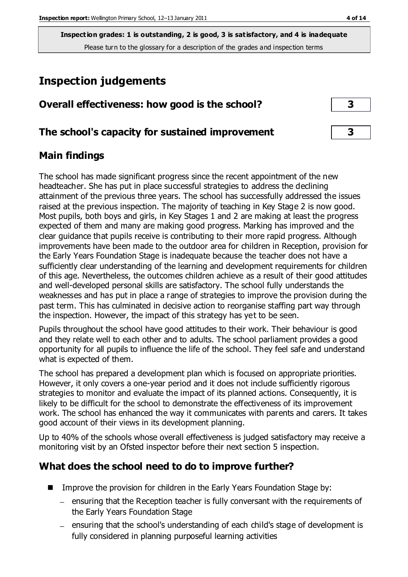**Inspection grades: 1 is outstanding, 2 is good, 3 is satisfactory, and 4 is inadequate** Please turn to the glossary for a description of the grades and inspection terms

# **Inspection judgements**

| Overall effectiveness: how good is the school? |  |  |
|------------------------------------------------|--|--|
|------------------------------------------------|--|--|

#### **The school's capacity for sustained improvement 3**

#### **Main findings**

The school has made significant progress since the recent appointment of the new headteacher. She has put in place successful strategies to address the declining attainment of the previous three years. The school has successfully addressed the issues raised at the previous inspection. The majority of teaching in Key Stage 2 is now good. Most pupils, both boys and girls, in Key Stages 1 and 2 are making at least the progress expected of them and many are making good progress. Marking has improved and the clear guidance that pupils receive is contributing to their more rapid progress. Although improvements have been made to the outdoor area for children in Reception, provision for the Early Years Foundation Stage is inadequate because the teacher does not have a sufficiently clear understanding of the learning and development requirements for children of this age. Nevertheless, the outcomes children achieve as a result of their good attitudes and well-developed personal skills are satisfactory. The school fully understands the weaknesses and has put in place a range of strategies to improve the provision during the past term. This has culminated in decisive action to reorganise staffing part way through the inspection. However, the impact of this strategy has yet to be seen.

Pupils throughout the school have good attitudes to their work. Their behaviour is good and they relate well to each other and to adults. The school parliament provides a good opportunity for all pupils to influence the life of the school. They feel safe and understand what is expected of them.

The school has prepared a development plan which is focused on appropriate priorities. However, it only covers a one-year period and it does not include sufficiently rigorous strategies to monitor and evaluate the impact of its planned actions. Consequently, it is likely to be difficult for the school to demonstrate the effectiveness of its improvement work. The school has enhanced the way it communicates with parents and carers. It takes good account of their views in its development planning.

Up to 40% of the schools whose overall effectiveness is judged satisfactory may receive a monitoring visit by an Ofsted inspector before their next section 5 inspection.

#### **What does the school need to do to improve further?**

- **IMPROVE THE PROVISION FOR CHILD FORM** In the Early Years Foundation Stage by:
	- ensuring that the Reception teacher is fully conversant with the requirements of the Early Years Foundation Stage
	- ensuring that the school's understanding of each child's stage of development is fully considered in planning purposeful learning activities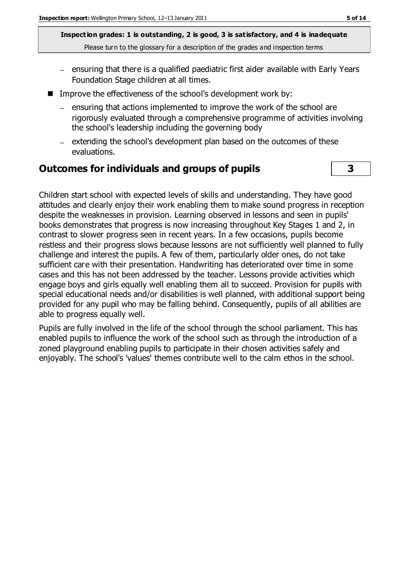**Inspection grades: 1 is outstanding, 2 is good, 3 is satisfactory, and 4 is inadequate** Please turn to the glossary for a description of the grades and inspection terms

- $-$  ensuring that there is a qualified paediatric first aider available with Early Years Foundation Stage children at all times.
- Improve the effectiveness of the school's development work by:
	- $=$  ensuring that actions implemented to improve the work of the school are rigorously evaluated through a comprehensive programme of activities involving the school's leadership including the governing body
	- $-$  extending the school's development plan based on the outcomes of these evaluations.

#### **Outcomes for individuals and groups of pupils 3**

Children start school with expected levels of skills and understanding. They have good attitudes and clearly enjoy their work enabling them to make sound progress in reception despite the weaknesses in provision. Learning observed in lessons and seen in pupils' books demonstrates that progress is now increasing throughout Key Stages 1 and 2, in contrast to slower progress seen in recent years. In a few occasions, pupils become restless and their progress slows because lessons are not sufficiently well planned to fully challenge and interest the pupils. A few of them, particularly older ones, do not take sufficient care with their presentation. Handwriting has deteriorated over time in some cases and this has not been addressed by the teacher. Lessons provide activities which engage boys and girls equally well enabling them all to succeed. Provision for pupils with special educational needs and/or disabilities is well planned, with additional support being provided for any pupil who may be falling behind. Consequently, pupils of all abilities are able to progress equally well.

Pupils are fully involved in the life of the school through the school parliament. This has enabled pupils to influence the work of the school such as through the introduction of a zoned playground enabling pupils to participate in their chosen activities safely and enjoyably. The school's 'values' themes contribute well to the calm ethos in the school.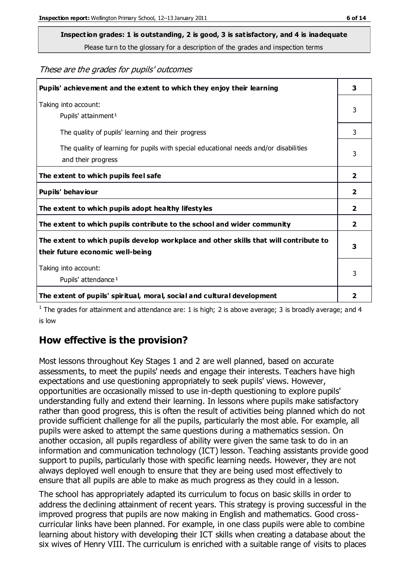# **Inspection grades: 1 is outstanding, 2 is good, 3 is satisfactory, and 4 is inadequate**

Please turn to the glossary for a description of the grades and inspection terms

#### These are the grades for pupils' outcomes

| Pupils' achievement and the extent to which they enjoy their learning                                                     | 3              |
|---------------------------------------------------------------------------------------------------------------------------|----------------|
| Taking into account:<br>Pupils' attainment <sup>1</sup>                                                                   | 3              |
| The quality of pupils' learning and their progress                                                                        | 3              |
| The quality of learning for pupils with special educational needs and/or disabilities<br>and their progress               | 3              |
| The extent to which pupils feel safe                                                                                      | $\mathbf{2}$   |
| Pupils' behaviour                                                                                                         | 2              |
| The extent to which pupils adopt healthy lifestyles                                                                       | 2              |
| The extent to which pupils contribute to the school and wider community                                                   | $\overline{2}$ |
| The extent to which pupils develop workplace and other skills that will contribute to<br>their future economic well-being | 3              |
| Taking into account:<br>Pupils' attendance <sup>1</sup>                                                                   | 3              |
| The extent of pupils' spiritual, moral, social and cultural development                                                   | $\overline{2}$ |

<sup>1</sup> The grades for attainment and attendance are: 1 is high; 2 is above average; 3 is broadly average; and 4 is low

#### **How effective is the provision?**

Most lessons throughout Key Stages 1 and 2 are well planned, based on accurate assessments, to meet the pupils' needs and engage their interests. Teachers have high expectations and use questioning appropriately to seek pupils' views. However, opportunities are occasionally missed to use in-depth questioning to explore pupils' understanding fully and extend their learning. In lessons where pupils make satisfactory rather than good progress, this is often the result of activities being planned which do not provide sufficient challenge for all the pupils, particularly the most able. For example, all pupils were asked to attempt the same questions during a mathematics session. On another occasion, all pupils regardless of ability were given the same task to do in an information and communication technology (ICT) lesson. Teaching assistants provide good support to pupils, particularly those with specific learning needs. However, they are not always deployed well enough to ensure that they are being used most effectively to ensure that all pupils are able to make as much progress as they could in a lesson.

The school has appropriately adapted its curriculum to focus on basic skills in order to address the declining attainment of recent years. This strategy is proving successful in the improved progress that pupils are now making in English and mathematics. Good crosscurricular links have been planned. For example, in one class pupils were able to combine learning about history with developing their ICT skills when creating a database about the six wives of Henry VIII. The curriculum is enriched with a suitable range of visits to places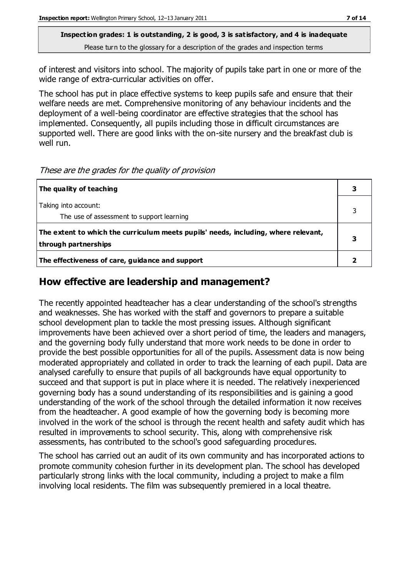**Inspection grades: 1 is outstanding, 2 is good, 3 is satisfactory, and 4 is inadequate** Please turn to the glossary for a description of the grades and inspection terms

of interest and visitors into school. The majority of pupils take part in one or more of the wide range of extra-curricular activities on offer.

The school has put in place effective systems to keep pupils safe and ensure that their welfare needs are met. Comprehensive monitoring of any behaviour incidents and the deployment of a well-being coordinator are effective strategies that the school has implemented. Consequently, all pupils including those in difficult circumstances are supported well. There are good links with the on-site nursery and the breakfast club is well run.

These are the grades for the quality of provision

| The quality of teaching                                                                                    |  |
|------------------------------------------------------------------------------------------------------------|--|
| Taking into account:<br>The use of assessment to support learning                                          |  |
| The extent to which the curriculum meets pupils' needs, including, where relevant,<br>through partnerships |  |
| The effectiveness of care, guidance and support                                                            |  |

#### **How effective are leadership and management?**

The recently appointed headteacher has a clear understanding of the school's strengths and weaknesses. She has worked with the staff and governors to prepare a suitable school development plan to tackle the most pressing issues. Although significant improvements have been achieved over a short period of time, the leaders and managers, and the governing body fully understand that more work needs to be done in order to provide the best possible opportunities for all of the pupils. Assessment data is now being moderated appropriately and collated in order to track the learning of each pupil. Data are analysed carefully to ensure that pupils of all backgrounds have equal opportunity to succeed and that support is put in place where it is needed. The relatively inexperienced governing body has a sound understanding of its responsibilities and is gaining a good understanding of the work of the school through the detailed information it now receives from the headteacher. A good example of how the governing body is becoming more involved in the work of the school is through the recent health and safety audit which has resulted in improvements to school security. This, along with comprehensive risk assessments, has contributed to the school's good safeguarding procedures.

The school has carried out an audit of its own community and has incorporated actions to promote community cohesion further in its development plan. The school has developed particularly strong links with the local community, including a project to make a film involving local residents. The film was subsequently premiered in a local theatre.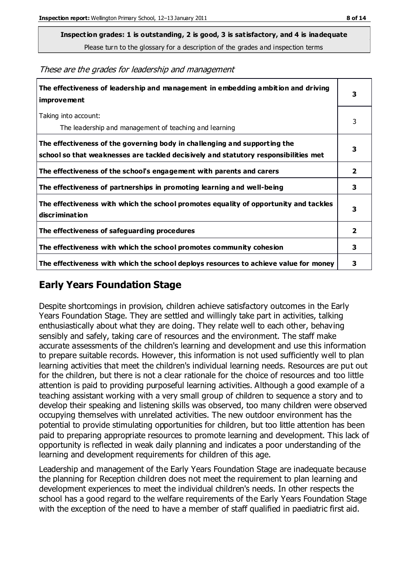**Inspection grades: 1 is outstanding, 2 is good, 3 is satisfactory, and 4 is inadequate**

Please turn to the glossary for a description of the grades and inspection terms

These are the grades for leadership and management

| The effectiveness of leadership and management in embedding ambition and driving<br>improvement                                                                  |                |
|------------------------------------------------------------------------------------------------------------------------------------------------------------------|----------------|
| Taking into account:<br>The leadership and management of teaching and learning                                                                                   | 3              |
| The effectiveness of the governing body in challenging and supporting the<br>school so that weaknesses are tackled decisively and statutory responsibilities met | 3              |
| The effectiveness of the school's engagement with parents and carers                                                                                             | $\overline{2}$ |
| The effectiveness of partnerships in promoting learning and well-being                                                                                           | 3              |
| The effectiveness with which the school promotes equality of opportunity and tackles<br>discrimination                                                           | 3              |
| The effectiveness of safeguarding procedures                                                                                                                     | 2              |
| The effectiveness with which the school promotes community cohesion                                                                                              | 3              |
| The effectiveness with which the school deploys resources to achieve value for money                                                                             | 3              |

#### **Early Years Foundation Stage**

Despite shortcomings in provision, children achieve satisfactory outcomes in the Early Years Foundation Stage. They are settled and willingly take part in activities, talking enthusiastically about what they are doing. They relate well to each other, behaving sensibly and safely, taking care of resources and the environment. The staff make accurate assessments of the children's learning and development and use this information to prepare suitable records. However, this information is not used sufficiently well to plan learning activities that meet the children's individual learning needs. Resources are put out for the children, but there is not a clear rationale for the choice of resources and too little attention is paid to providing purposeful learning activities. Although a good example of a teaching assistant working with a very small group of children to sequence a story and to develop their speaking and listening skills was observed, too many children were observed occupying themselves with unrelated activities. The new outdoor environment has the potential to provide stimulating opportunities for children, but too little attention has been paid to preparing appropriate resources to promote learning and development. This lack of opportunity is reflected in weak daily planning and indicates a poor understanding of the learning and development requirements for children of this age.

Leadership and management of the Early Years Foundation Stage are inadequate because the planning for Reception children does not meet the requirement to plan learning and development experiences to meet the individual children's needs. In other respects the school has a good regard to the welfare requirements of the Early Years Foundation Stage with the exception of the need to have a member of staff qualified in paediatric first aid.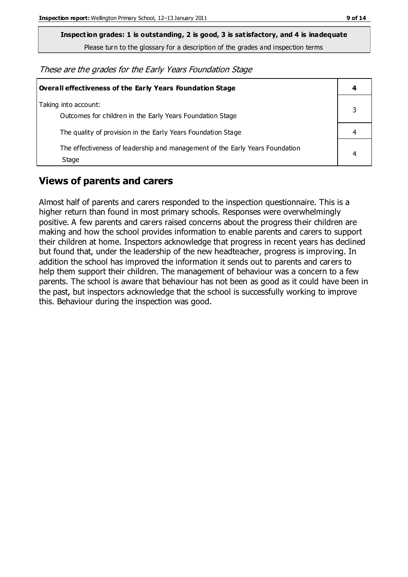**Inspection grades: 1 is outstanding, 2 is good, 3 is satisfactory, and 4 is inadequate**

Please turn to the glossary for a description of the grades and inspection terms

These are the grades for the Early Years Foundation Stage

| Overall effectiveness of the Early Years Foundation Stage                             | 4 |
|---------------------------------------------------------------------------------------|---|
| Taking into account:<br>Outcomes for children in the Early Years Foundation Stage     |   |
| The quality of provision in the Early Years Foundation Stage                          |   |
| The effectiveness of leadership and management of the Early Years Foundation<br>Stage | 4 |

#### **Views of parents and carers**

Almost half of parents and carers responded to the inspection questionnaire. This is a higher return than found in most primary schools. Responses were overwhelmingly positive. A few parents and carers raised concerns about the progress their children are making and how the school provides information to enable parents and carers to support their children at home. Inspectors acknowledge that progress in recent years has declined but found that, under the leadership of the new headteacher, progress is improving. In addition the school has improved the information it sends out to parents and carers to help them support their children. The management of behaviour was a concern to a few parents. The school is aware that behaviour has not been as good as it could have been in the past, but inspectors acknowledge that the school is successfully working to improve this. Behaviour during the inspection was good.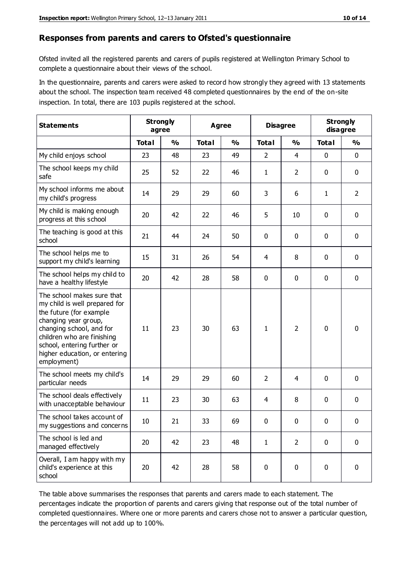#### **Responses from parents and carers to Ofsted's questionnaire**

Ofsted invited all the registered parents and carers of pupils registered at Wellington Primary School to complete a questionnaire about their views of the school.

In the questionnaire, parents and carers were asked to record how strongly they agreed with 13 statements about the school. The inspection team received 48 completed questionnaires by the end of the on-site inspection. In total, there are 103 pupils registered at the school.

| <b>Statements</b>                                                                                                                                                                                                                                       | <b>Strongly</b><br>agree |               | Agree        |               | <b>Disagree</b> |                | <b>Strongly</b><br>disagree |                |
|---------------------------------------------------------------------------------------------------------------------------------------------------------------------------------------------------------------------------------------------------------|--------------------------|---------------|--------------|---------------|-----------------|----------------|-----------------------------|----------------|
|                                                                                                                                                                                                                                                         | <b>Total</b>             | $\frac{0}{0}$ | <b>Total</b> | $\frac{0}{0}$ | <b>Total</b>    | $\frac{0}{0}$  | <b>Total</b>                | $\frac{0}{0}$  |
| My child enjoys school                                                                                                                                                                                                                                  | 23                       | 48            | 23           | 49            | 2               | $\overline{4}$ | $\mathbf 0$                 | $\mathbf 0$    |
| The school keeps my child<br>safe                                                                                                                                                                                                                       | 25                       | 52            | 22           | 46            | 1               | $\overline{2}$ | $\mathbf 0$                 | $\mathbf 0$    |
| My school informs me about<br>my child's progress                                                                                                                                                                                                       | 14                       | 29            | 29           | 60            | 3               | 6              | $\mathbf{1}$                | $\overline{2}$ |
| My child is making enough<br>progress at this school                                                                                                                                                                                                    | 20                       | 42            | 22           | 46            | 5               | 10             | 0                           | $\mathbf 0$    |
| The teaching is good at this<br>school                                                                                                                                                                                                                  | 21                       | 44            | 24           | 50            | 0               | 0              | $\mathbf 0$                 | $\mathbf 0$    |
| The school helps me to<br>support my child's learning                                                                                                                                                                                                   | 15                       | 31            | 26           | 54            | 4               | 8              | $\mathbf 0$                 | $\mathbf 0$    |
| The school helps my child to<br>have a healthy lifestyle                                                                                                                                                                                                | 20                       | 42            | 28           | 58            | 0               | $\mathbf 0$    | $\mathbf 0$                 | $\mathbf 0$    |
| The school makes sure that<br>my child is well prepared for<br>the future (for example<br>changing year group,<br>changing school, and for<br>children who are finishing<br>school, entering further or<br>higher education, or entering<br>employment) | 11                       | 23            | 30           | 63            | 1               | $\overline{2}$ | $\mathbf 0$                 | $\mathbf 0$    |
| The school meets my child's<br>particular needs                                                                                                                                                                                                         | 14                       | 29            | 29           | 60            | $\overline{2}$  | 4              | $\mathbf 0$                 | $\mathbf 0$    |
| The school deals effectively<br>with unacceptable behaviour                                                                                                                                                                                             | 11                       | 23            | 30           | 63            | 4               | 8              | $\mathbf 0$                 | 0              |
| The school takes account of<br>my suggestions and concerns                                                                                                                                                                                              | 10                       | 21            | 33           | 69            | 0               | 0              | 0                           | 0              |
| The school is led and<br>managed effectively                                                                                                                                                                                                            | 20                       | 42            | 23           | 48            | $\mathbf{1}$    | $\overline{2}$ | $\mathbf 0$                 | $\mathbf 0$    |
| Overall, I am happy with my<br>child's experience at this<br>school                                                                                                                                                                                     | 20                       | 42            | 28           | 58            | $\pmb{0}$       | 0              | $\mathbf 0$                 | $\mathbf 0$    |

The table above summarises the responses that parents and carers made to each statement. The percentages indicate the proportion of parents and carers giving that response out of the total number of completed questionnaires. Where one or more parents and carers chose not to answer a particular question, the percentages will not add up to 100%.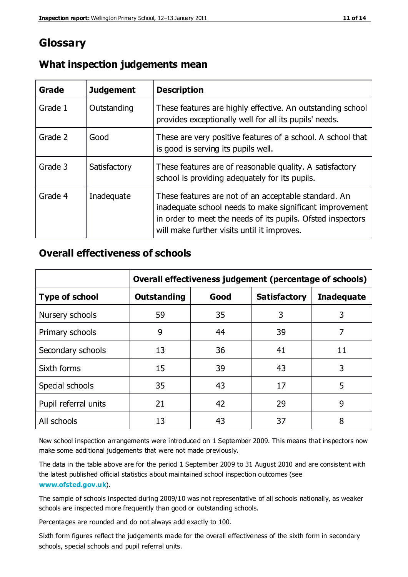### **Glossary**

| Grade   | <b>Judgement</b> | <b>Description</b>                                                                                                                                                                                                            |
|---------|------------------|-------------------------------------------------------------------------------------------------------------------------------------------------------------------------------------------------------------------------------|
| Grade 1 | Outstanding      | These features are highly effective. An outstanding school<br>provides exceptionally well for all its pupils' needs.                                                                                                          |
| Grade 2 | Good             | These are very positive features of a school. A school that<br>is good is serving its pupils well.                                                                                                                            |
| Grade 3 | Satisfactory     | These features are of reasonable quality. A satisfactory<br>school is providing adequately for its pupils.                                                                                                                    |
| Grade 4 | Inadequate       | These features are not of an acceptable standard. An<br>inadequate school needs to make significant improvement<br>in order to meet the needs of its pupils. Ofsted inspectors<br>will make further visits until it improves. |

#### **What inspection judgements mean**

#### **Overall effectiveness of schools**

|                       | Overall effectiveness judgement (percentage of schools) |      |                     |                   |
|-----------------------|---------------------------------------------------------|------|---------------------|-------------------|
| <b>Type of school</b> | <b>Outstanding</b>                                      | Good | <b>Satisfactory</b> | <b>Inadequate</b> |
| Nursery schools       | 59                                                      | 35   | 3                   | 3                 |
| Primary schools       | 9                                                       | 44   | 39                  | 7                 |
| Secondary schools     | 13                                                      | 36   | 41                  | 11                |
| Sixth forms           | 15                                                      | 39   | 43                  | 3                 |
| Special schools       | 35                                                      | 43   | 17                  | 5                 |
| Pupil referral units  | 21                                                      | 42   | 29                  | 9                 |
| All schools           | 13                                                      | 43   | 37                  | 8                 |

New school inspection arrangements were introduced on 1 September 2009. This means that inspectors now make some additional judgements that were not made previously.

The data in the table above are for the period 1 September 2009 to 31 August 2010 and are consistent with the latest published official statistics about maintained school inspection outcomes (see **[www.ofsted.gov.uk](http://www.ofsted.gov.uk/)**).

The sample of schools inspected during 2009/10 was not representative of all schools nationally, as weaker schools are inspected more frequently than good or outstanding schools.

Percentages are rounded and do not always add exactly to 100.

Sixth form figures reflect the judgements made for the overall effectiveness of the sixth form in secondary schools, special schools and pupil referral units.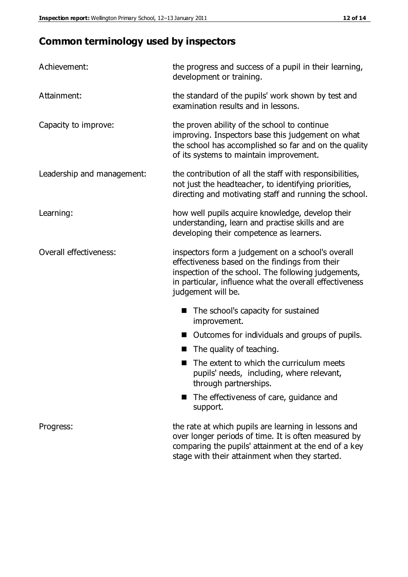# **Common terminology used by inspectors**

| Achievement:               | the progress and success of a pupil in their learning,<br>development or training.                                                                                                                                                          |  |
|----------------------------|---------------------------------------------------------------------------------------------------------------------------------------------------------------------------------------------------------------------------------------------|--|
| Attainment:                | the standard of the pupils' work shown by test and<br>examination results and in lessons.                                                                                                                                                   |  |
| Capacity to improve:       | the proven ability of the school to continue<br>improving. Inspectors base this judgement on what<br>the school has accomplished so far and on the quality<br>of its systems to maintain improvement.                                       |  |
| Leadership and management: | the contribution of all the staff with responsibilities,<br>not just the headteacher, to identifying priorities,<br>directing and motivating staff and running the school.                                                                  |  |
| Learning:                  | how well pupils acquire knowledge, develop their<br>understanding, learn and practise skills and are<br>developing their competence as learners.                                                                                            |  |
| Overall effectiveness:     | inspectors form a judgement on a school's overall<br>effectiveness based on the findings from their<br>inspection of the school. The following judgements,<br>in particular, influence what the overall effectiveness<br>judgement will be. |  |
|                            | The school's capacity for sustained<br>improvement.                                                                                                                                                                                         |  |
|                            | Outcomes for individuals and groups of pupils.                                                                                                                                                                                              |  |
|                            | The quality of teaching.                                                                                                                                                                                                                    |  |
|                            | The extent to which the curriculum meets<br>pupils' needs, including, where relevant,<br>through partnerships.                                                                                                                              |  |
|                            | The effectiveness of care, guidance and<br>support.                                                                                                                                                                                         |  |
| Progress:                  | the rate at which pupils are learning in lessons and<br>over longer periods of time. It is often measured by<br>comparing the pupils' attainment at the end of a key                                                                        |  |

stage with their attainment when they started.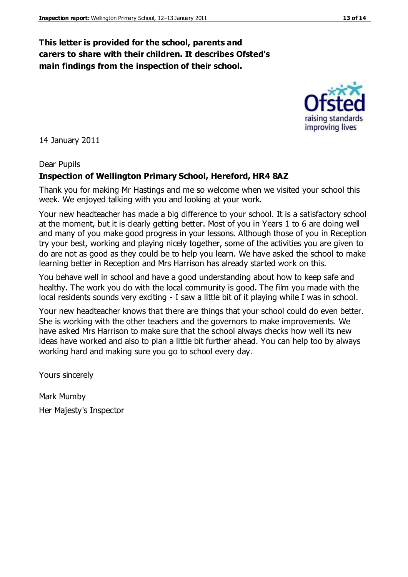#### **This letter is provided for the school, parents and carers to share with their children. It describes Ofsted's main findings from the inspection of their school.**

14 January 2011

#### Dear Pupils

#### **Inspection of Wellington Primary School, Hereford, HR4 8AZ**

Thank you for making Mr Hastings and me so welcome when we visited your school this week. We enjoyed talking with you and looking at your work.

Your new headteacher has made a big difference to your school. It is a satisfactory school at the moment, but it is clearly getting better. Most of you in Years 1 to 6 are doing well and many of you make good progress in your lessons. Although those of you in Reception try your best, working and playing nicely together, some of the activities you are given to do are not as good as they could be to help you learn. We have asked the school to make learning better in Reception and Mrs Harrison has already started work on this.

You behave well in school and have a good understanding about how to keep safe and healthy. The work you do with the local community is good. The film you made with the local residents sounds very exciting - I saw a little bit of it playing while I was in school.

Your new headteacher knows that there are things that your school could do even better. She is working with the other teachers and the governors to make improvements. We have asked Mrs Harrison to make sure that the school always checks how well its new ideas have worked and also to plan a little bit further ahead. You can help too by always working hard and making sure you go to school every day.

Yours sincerely

Mark Mumby Her Majesty's Inspector